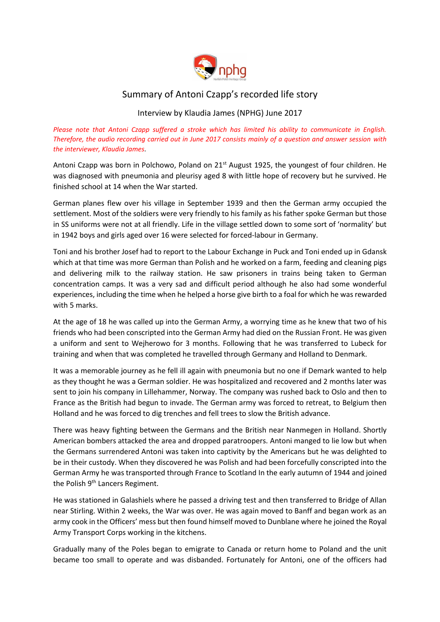

## Summary of Antoni Czapp's recorded life story

## Interview by Klaudia James (NPHG) June 2017

*Please note that Antoni Czapp suffered a stroke which has limited his ability to communicate in English. Therefore, the audio recording carried out in June 2017 consists mainly of a question and answer session with the interviewer, Klaudia James.* 

Antoni Czapp was born in Polchowo, Poland on 21<sup>st</sup> August 1925, the youngest of four children. He was diagnosed with pneumonia and pleurisy aged 8 with little hope of recovery but he survived. He finished school at 14 when the War started.

German planes flew over his village in September 1939 and then the German army occupied the settlement. Most of the soldiers were very friendly to his family as his father spoke German but those in SS uniforms were not at all friendly. Life in the village settled down to some sort of 'normality' but in 1942 boys and girls aged over 16 were selected for forced-labour in Germany.

Toni and his brother Josef had to report to the Labour Exchange in Puck and Toni ended up in Gdansk which at that time was more German than Polish and he worked on a farm, feeding and cleaning pigs and delivering milk to the railway station. He saw prisoners in trains being taken to German concentration camps. It was a very sad and difficult period although he also had some wonderful experiences, including the time when he helped a horse give birth to a foal for which he was rewarded with 5 marks.

At the age of 18 he was called up into the German Army, a worrying time as he knew that two of his friends who had been conscripted into the German Army had died on the Russian Front. He was given a uniform and sent to Wejherowo for 3 months. Following that he was transferred to Lubeck for training and when that was completed he travelled through Germany and Holland to Denmark.

It was a memorable journey as he fell ill again with pneumonia but no one if Demark wanted to help as they thought he was a German soldier. He was hospitalized and recovered and 2 months later was sent to join his company in Lillehammer, Norway. The company was rushed back to Oslo and then to France as the British had begun to invade. The German army was forced to retreat, to Belgium then Holland and he was forced to dig trenches and fell trees to slow the British advance.

There was heavy fighting between the Germans and the British near Nanmegen in Holland. Shortly American bombers attacked the area and dropped paratroopers. Antoni manged to lie low but when the Germans surrendered Antoni was taken into captivity by the Americans but he was delighted to be in their custody. When they discovered he was Polish and had been forcefully conscripted into the German Army he was transported through France to Scotland In the early autumn of 1944 and joined the Polish 9<sup>th</sup> Lancers Regiment.

He was stationed in Galashiels where he passed a driving test and then transferred to Bridge of Allan near Stirling. Within 2 weeks, the War was over. He was again moved to Banff and began work as an army cook in the Officers' mess but then found himself moved to Dunblane where he joined the Royal Army Transport Corps working in the kitchens.

Gradually many of the Poles began to emigrate to Canada or return home to Poland and the unit became too small to operate and was disbanded. Fortunately for Antoni, one of the officers had